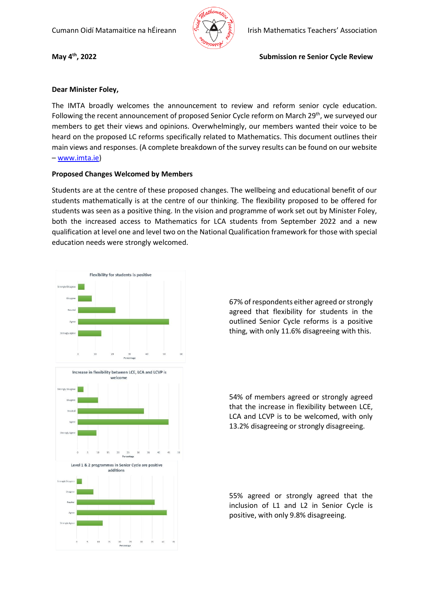

**May 4th**

## **Dear Minister Foley,**

The IMTA broadly welcomes the announcement to review and reform senior cycle education. Following the recent announcement of proposed Senior Cycle reform on March 29<sup>th</sup>, we surveyed our members to get their views and opinions. Overwhelmingly, our members wanted their voice to be heard on the proposed LC reforms specifically related to Mathematics. This document outlines their main views and responses. (A complete breakdown of the survey results can be found on our website – [www.imta.ie\)](http://www.imta.ie/)

## **Proposed Changes Welcomed by Members**

Students are at the centre of these proposed changes. The wellbeing and educational benefit of our students mathematically is at the centre of our thinking. The flexibility proposed to be offered for students was seen as a positive thing. In the vision and programme of work set out by Minister Foley, both the increased access to Mathematics for LCA students from September 2022 and a new qualification at level one and level two on the National Qualification framework for those with special education needs were strongly welcomed.



67% of respondents either agreed or strongly agreed that flexibility for students in the outlined Senior Cycle reforms is a positive thing, with only 11.6% disagreeing with this.

54% of members agreed or strongly agreed that the increase in flexibility between LCE, LCA and LCVP is to be welcomed, with only 13.2% disagreeing or strongly disagreeing.

55% agreed or strongly agreed that the inclusion of L1 and L2 in Senior Cycle is positive, with only 9.8% disagreeing.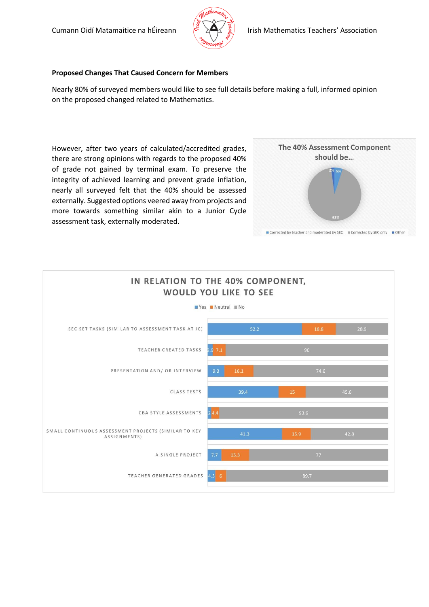

## **Proposed Changes That Caused Concern for Members**

Nearly 80% of surveyed members would like to see full details before making a full, informed opinion on the proposed changed related to Mathematics.

However, after two years of calculated/accredited grades, there are strong opinions with regards to the proposed 40% of grade not gained by terminal exam. To preserve the integrity of achieved learning and prevent grade inflation, nearly all surveyed felt that the 40% should be assessed externally. Suggested options veered away from projects and more towards something similar akin to a Junior Cycle assessment task, externally moderated.